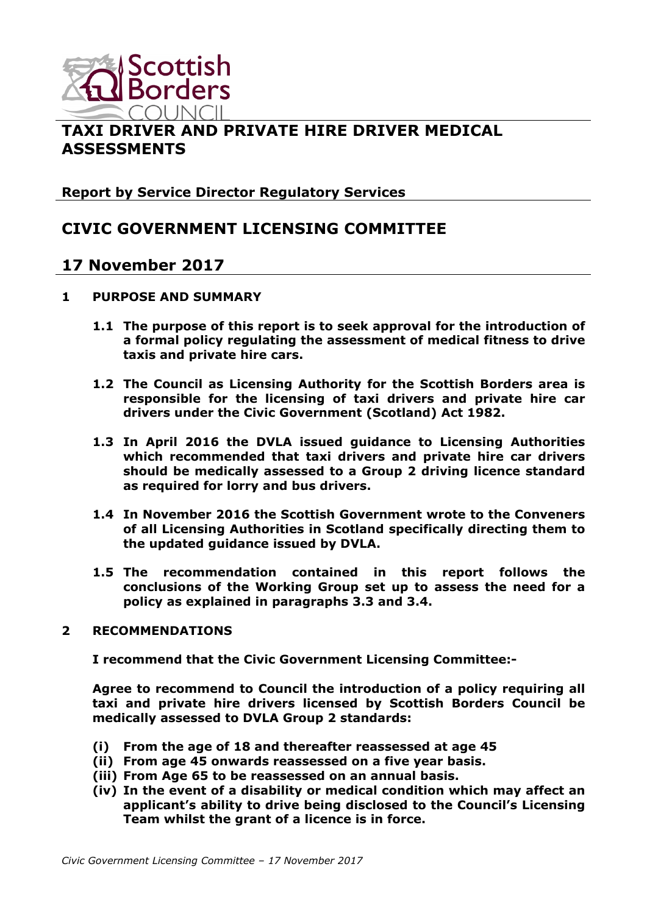

# **TAXI DRIVER AND PRIVATE HIRE DRIVER MEDICAL ASSESSMENTS**

**Report by Service Director Regulatory Services**

# **CIVIC GOVERNMENT LICENSING COMMITTEE**

# **17 November 2017**

- **1 PURPOSE AND SUMMARY**
	- **1.1 The purpose of this report is to seek approval for the introduction of a formal policy regulating the assessment of medical fitness to drive taxis and private hire cars.**
	- **1.2 The Council as Licensing Authority for the Scottish Borders area is responsible for the licensing of taxi drivers and private hire car drivers under the Civic Government (Scotland) Act 1982.**
	- **1.3 In April 2016 the DVLA issued guidance to Licensing Authorities which recommended that taxi drivers and private hire car drivers should be medically assessed to a Group 2 driving licence standard as required for lorry and bus drivers.**
	- **1.4 In November 2016 the Scottish Government wrote to the Conveners of all Licensing Authorities in Scotland specifically directing them to the updated guidance issued by DVLA.**
	- **1.5 The recommendation contained in this report follows the conclusions of the Working Group set up to assess the need for a policy as explained in paragraphs 3.3 and 3.4.**

#### **2 RECOMMENDATIONS**

**I recommend that the Civic Government Licensing Committee:-**

**Agree to recommend to Council the introduction of a policy requiring all taxi and private hire drivers licensed by Scottish Borders Council be medically assessed to DVLA Group 2 standards:**

- **(i) From the age of 18 and thereafter reassessed at age 45**
- **(ii) From age 45 onwards reassessed on a five year basis.**
- **(iii) From Age 65 to be reassessed on an annual basis.**
- **(iv) In the event of a disability or medical condition which may affect an applicant's ability to drive being disclosed to the Council's Licensing Team whilst the grant of a licence is in force.**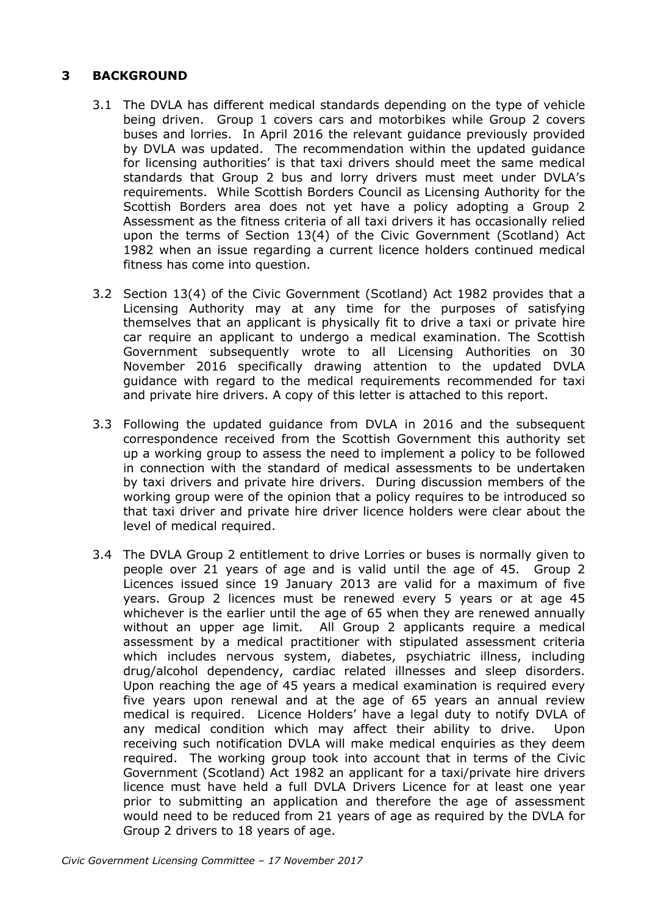# **3 BACKGROUND**

- 3.1 The DVLA has different medical standards depending on the type of vehicle being driven. Group 1 covers cars and motorbikes while Group 2 covers buses and lorries. In April 2016 the relevant guidance previously provided by DVLA was updated. The recommendation within the updated guidance for licensing authorities' is that taxi drivers should meet the same medical standards that Group 2 bus and lorry drivers must meet under DVLA's requirements. While Scottish Borders Council as Licensing Authority for the Scottish Borders area does not yet have a policy adopting a Group 2 Assessment as the fitness criteria of all taxi drivers it has occasionally relied upon the terms of Section 13(4) of the Civic Government (Scotland) Act 1982 when an issue regarding a current licence holders continued medical fitness has come into question.
- 3.2 Section 13(4) of the Civic Government (Scotland) Act 1982 provides that a Licensing Authority may at any time for the purposes of satisfying themselves that an applicant is physically fit to drive a taxi or private hire car require an applicant to undergo a medical examination. The Scottish Government subsequently wrote to all Licensing Authorities on 30 November 2016 specifically drawing attention to the updated DVLA guidance with regard to the medical requirements recommended for taxi and private hire drivers. A copy of this letter is attached to this report.
- 3.3 Following the updated guidance from DVLA in 2016 and the subsequent correspondence received from the Scottish Government this authority set up a working group to assess the need to implement a policy to be followed in connection with the standard of medical assessments to be undertaken by taxi drivers and private hire drivers. During discussion members of the working group were of the opinion that a policy requires to be introduced so that taxi driver and private hire driver licence holders were clear about the level of medical required.
- 3.4 The DVLA Group 2 entitlement to drive Lorries or buses is normally given to people over 21 years of age and is valid until the age of 45. Group 2 Licences issued since 19 January 2013 are valid for a maximum of five years. Group 2 licences must be renewed every 5 years or at age 45 whichever is the earlier until the age of 65 when they are renewed annually without an upper age limit. All Group 2 applicants require a medical assessment by a medical practitioner with stipulated assessment criteria which includes nervous system, diabetes, psychiatric illness, including drug/alcohol dependency, cardiac related illnesses and sleep disorders. Upon reaching the age of 45 years a medical examination is required every five years upon renewal and at the age of 65 years an annual review medical is required. Licence Holders' have a legal duty to notify DVLA of any medical condition which may affect their ability to drive. Upon receiving such notification DVLA will make medical enquiries as they deem required. The working group took into account that in terms of the Civic Government (Scotland) Act 1982 an applicant for a taxi/private hire drivers licence must have held a full DVLA Drivers Licence for at least one year prior to submitting an application and therefore the age of assessment would need to be reduced from 21 years of age as required by the DVLA for Group 2 drivers to 18 years of age.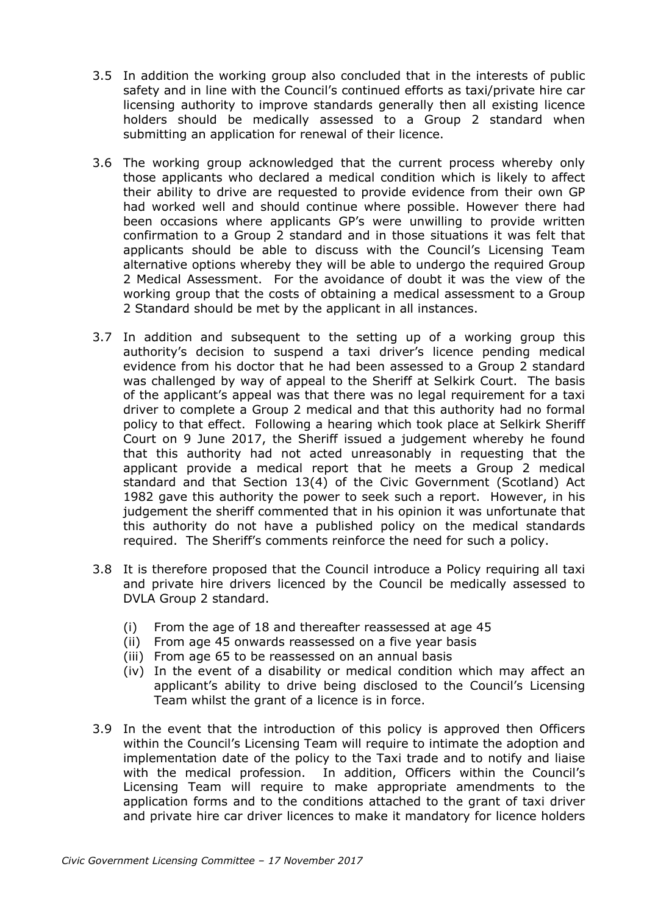- 3.5 In addition the working group also concluded that in the interests of public safety and in line with the Council's continued efforts as taxi/private hire car licensing authority to improve standards generally then all existing licence holders should be medically assessed to a Group 2 standard when submitting an application for renewal of their licence.
- 3.6 The working group acknowledged that the current process whereby only those applicants who declared a medical condition which is likely to affect their ability to drive are requested to provide evidence from their own GP had worked well and should continue where possible. However there had been occasions where applicants GP's were unwilling to provide written confirmation to a Group 2 standard and in those situations it was felt that applicants should be able to discuss with the Council's Licensing Team alternative options whereby they will be able to undergo the required Group 2 Medical Assessment. For the avoidance of doubt it was the view of the working group that the costs of obtaining a medical assessment to a Group 2 Standard should be met by the applicant in all instances.
- 3.7 In addition and subsequent to the setting up of a working group this authority's decision to suspend a taxi driver's licence pending medical evidence from his doctor that he had been assessed to a Group 2 standard was challenged by way of appeal to the Sheriff at Selkirk Court. The basis of the applicant's appeal was that there was no legal requirement for a taxi driver to complete a Group 2 medical and that this authority had no formal policy to that effect. Following a hearing which took place at Selkirk Sheriff Court on 9 June 2017, the Sheriff issued a judgement whereby he found that this authority had not acted unreasonably in requesting that the applicant provide a medical report that he meets a Group 2 medical standard and that Section 13(4) of the Civic Government (Scotland) Act 1982 gave this authority the power to seek such a report. However, in his judgement the sheriff commented that in his opinion it was unfortunate that this authority do not have a published policy on the medical standards required. The Sheriff's comments reinforce the need for such a policy.
- 3.8 It is therefore proposed that the Council introduce a Policy requiring all taxi and private hire drivers licenced by the Council be medically assessed to DVLA Group 2 standard.
	- (i) From the age of 18 and thereafter reassessed at age 45
	- (ii) From age 45 onwards reassessed on a five year basis
	- (iii) From age 65 to be reassessed on an annual basis
	- (iv) In the event of a disability or medical condition which may affect an applicant's ability to drive being disclosed to the Council's Licensing Team whilst the grant of a licence is in force.
- 3.9 In the event that the introduction of this policy is approved then Officers within the Council's Licensing Team will require to intimate the adoption and implementation date of the policy to the Taxi trade and to notify and liaise with the medical profession. In addition, Officers within the Council's Licensing Team will require to make appropriate amendments to the application forms and to the conditions attached to the grant of taxi driver and private hire car driver licences to make it mandatory for licence holders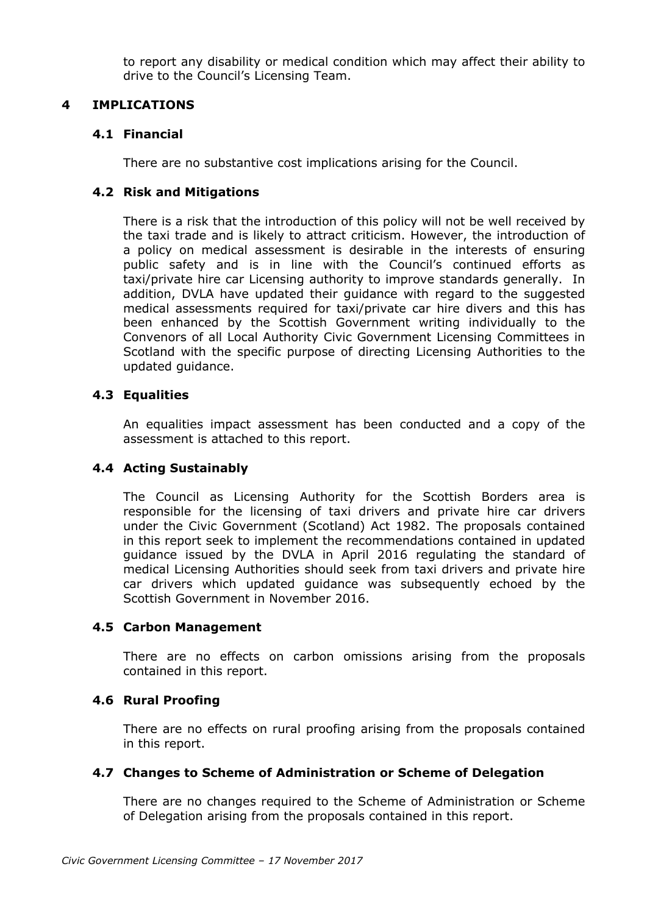to report any disability or medical condition which may affect their ability to drive to the Council's Licensing Team.

# **4 IMPLICATIONS**

### **4.1 Financial**

There are no substantive cost implications arising for the Council.

# **4.2 Risk and Mitigations**

There is a risk that the introduction of this policy will not be well received by the taxi trade and is likely to attract criticism. However, the introduction of a policy on medical assessment is desirable in the interests of ensuring public safety and is in line with the Council's continued efforts as taxi/private hire car Licensing authority to improve standards generally. In addition, DVLA have updated their guidance with regard to the suggested medical assessments required for taxi/private car hire divers and this has been enhanced by the Scottish Government writing individually to the Convenors of all Local Authority Civic Government Licensing Committees in Scotland with the specific purpose of directing Licensing Authorities to the updated guidance.

# **4.3 Equalities**

An equalities impact assessment has been conducted and a copy of the assessment is attached to this report.

#### **4.4 Acting Sustainably**

The Council as Licensing Authority for the Scottish Borders area is responsible for the licensing of taxi drivers and private hire car drivers under the Civic Government (Scotland) Act 1982. The proposals contained in this report seek to implement the recommendations contained in updated guidance issued by the DVLA in April 2016 regulating the standard of medical Licensing Authorities should seek from taxi drivers and private hire car drivers which updated guidance was subsequently echoed by the Scottish Government in November 2016.

#### **4.5 Carbon Management**

There are no effects on carbon omissions arising from the proposals contained in this report.

#### **4.6 Rural Proofing**

There are no effects on rural proofing arising from the proposals contained in this report.

#### **4.7 Changes to Scheme of Administration or Scheme of Delegation**

There are no changes required to the Scheme of Administration or Scheme of Delegation arising from the proposals contained in this report.